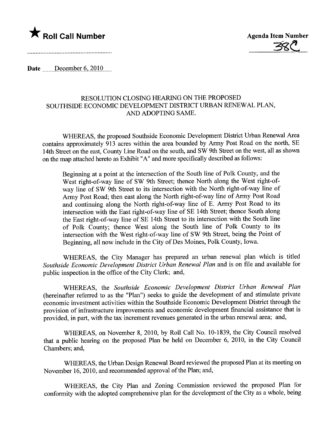



Date  $December 6, 2010...$ 

## RESOLUTION CLOSING HEARING ON THE PROPOSED SOUTHSIDE ECONOMIC DEVELOPMENT DISTRICT URBAN RENEWAL PLAN, AND ADOPTING SAME.

WHEREAS, the proposed Southside Economic Development District Urban Renewal Area contains approximately 913 acres within the area bounded by Army Post Road on the north, SE 14th Street on the east, County Line Road on the south, and SW 9th Street on the west, all as shown on the map attached hereto as Exhibit "A" and more specifically described as follows:

Beginning at a point at the intersection of the South line of Polk County, and the West right-of-way line of SW 9th Street; thence North along the West right-ofway line of SW 9th Street to its intersection with the North right-of-way line of Army Post Road; then east along the North right-of-way line of Army Post Road and continuing along the North right-of-way line of E. Army Post Road to its intersection with the East right-of-way line of SE 14th Street; thence South along the East right-of-way line of SE 14th Street to its intersection with the South line of Polk County; thence West along the South line of Polk County to its intersection with the West right-of-way line of SW 9th Street, being the Point of Beginning, all now include in the City of Des Moines, Polk County, Iowa.

WHEREAS, the City Manager has prepared an urban renewal plan which is titled Southside Economic Development District Urban Renewal Plan and is on file and available for public inspection in the office of the City Clerk; and,

WHEREAS, the Southside Economic Development District Urban Renewal Plan (hereinafter referred to as the "Plan") seeks to guide the development of and stimulate private economic investment activities within the Southside Economic Development District through the provision of infrastructure improvements and economic development financial assistance that is provided, in part, with the tax increment revenues generated in the urban renewal area; and,

WHEREAS, on November 8, 2010, by Roll Call No. 10-1839, the City Council resolved that a public heanng on the proposed Plan be held on December 6, 2010, in the City Council Chambers; and,

WHEREAS, the Urban Design Renewal Board reviewed the proposed Plan at its meeting on November 16,2010, and recommended approval of the Plan; and,

WHEREAS, the City Plan and Zoning Commission reviewed the proposed Plan for conformity with the adopted comprehensive plan for the development of the City as a whole, being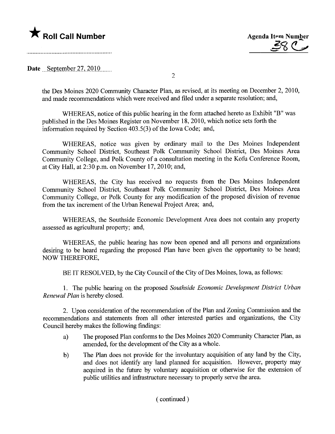**\*** Roll Call Number Agenda Item Number Agenda Item Number Agenda Item Number

Date September  $27,2010$ .......

2

the Des Moines 2020 Communty Character Plan, as revised, at its meeting on December 2,2010, and made recommendations which were received and fied under a separate resolution; and,

WHEREAS, notice of this public hearing in the form attached hereto as Exhibit "B" was published in the Des Moines Register on November 18,2010, which notice sets forth the information required by Section 403.5(3) of the Iowa Code; and,

WHEREAS, notice was given by ordinary mail to the Des Moines Independent Community School District, Southeast Polk Community School District, Des Moines Area Community College, and Polk County of a consultation meeting in the Kofu Conference Room, at City Hall, at 2:30 p.m. on November 17,2010; and,

WHEREAS, the City has received no requests from the Des Moines Independent Community School District, Southeast Polk Community School District, Des Moines Area Community College, or Polk County for any modification of the proposed division of revenue from the tax increment of the Urban Renewal Project Area; and,

WHEREAS, the Southside Economic Development Area does not contain any property assessed as agricultural property; and,

WHEREAS, the public hearing has now been opened and all persons and organizations desiring to be heard regarding the proposed Plan have been given the opportunity to be heard; NOW THEREFORE,

BE IT RESOLVED, by the City Council of the City of Des Moines, Iowa, as follows:

1. The public heanng on the proposed Southside Economic Development District Urban Renewal Plan is hereby closed.

2. Upon consideration of the recommendation of the Plan and Zoning Commission and the recommendations and statements from all other interested parties and organizations, the City Council hereby makes the following findings:

- a) The proposed Plan conforms to the Des Moines 2020 Community Character Plan, as amended, for the development of the City as a whole.
- b) The Plan does not provide for the involuntary acquisition of any land by the City, and does not identify any land planed for acquisition. However, property may acquired in the future by voluntary acquisition or otherwise for the extension of public utilities and infrastructure necessary to properly serve the area.

( continued)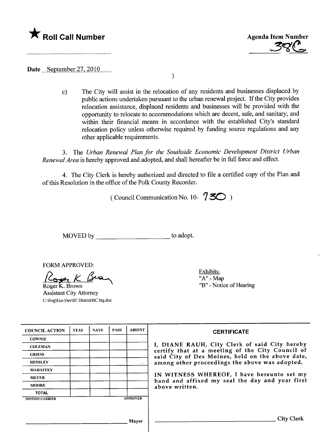



Date September  $27,2010$ .......

3

c) The City will assist in the relocation of any residents and businesses displaced by public actions undertaken pursuant to the urban renewal project. If the City provides relocation assistance, displaced residents and businesses will be provided with the opportunity to relocate to accommodations which are decent, safe, and sanitary, and within their financial means in accordance with the established City's standard relocation policy unless otherwise required by funding source regulations and any other applicable requirements.

3. The Urban Renewal Plan for the Southside Economic Development District Urban Renewal Area is hereby approved and adopted, and shall hereafter be in full force and effect.

4. The City Clerk is hereby authorized and directed to file a certified copy of the Plan and of this Resolution in the office of the Polk County Recorder.

( Council Communication No. 10-  $750$ )

MOVED by \_\_\_\_\_\_\_\_\_\_\_\_\_\_\_\_\_\_\_\_\_\_\_\_\_\_\_\_\_\_to adopt.

FORM APPROVED:

ONWATTNOVED.<br>Roger K Brown

Roger K. Brown Assistant City Attorney C:\Rog\Eco Dev\SE District\RC hrg.doc Exhibits: "A" - Map "B" - Notice of Hearing

| <b>COUNCIL ACTION</b> | <b>YEAS</b>  | <b>NAYS</b> | <b>PASS</b> | <b>ABSENT</b>   | <b>CERTIFICATE</b>                                                                                                                                                |  |
|-----------------------|--------------|-------------|-------------|-----------------|-------------------------------------------------------------------------------------------------------------------------------------------------------------------|--|
| <b>COWNIE</b>         |              |             |             |                 | I, DIANE RAUH, City Clerk of said City hereby                                                                                                                     |  |
| <b>COLEMAN</b>        |              |             |             |                 |                                                                                                                                                                   |  |
| <b>GRIESS</b>         |              |             |             |                 | certify that at a meeting of the City Council of<br>said City of Des Moines, held on the above date,                                                              |  |
| <b>HENSLEY</b>        |              |             |             |                 | among other proceedings the above was adopted.<br>IN WITNESS WHEREOF, I have hereunto set my<br>hand and affixed my seal the day and year first<br>above written. |  |
| <b>MAHAFFEY</b>       |              |             |             |                 |                                                                                                                                                                   |  |
| <b>MEYER</b>          |              |             |             |                 |                                                                                                                                                                   |  |
| <b>MOORE</b>          |              |             |             |                 |                                                                                                                                                                   |  |
| <b>TOTAL</b>          |              |             |             |                 |                                                                                                                                                                   |  |
| <b>MOTION CARRIED</b> |              |             |             | <b>APPROVED</b> |                                                                                                                                                                   |  |
|                       |              |             |             |                 |                                                                                                                                                                   |  |
|                       | <b>Mayor</b> |             |             |                 | <b>City Clerk</b>                                                                                                                                                 |  |